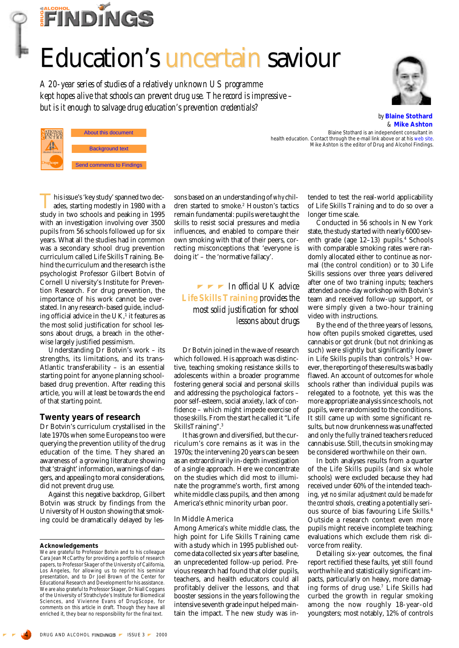# **FINDINGS**

# Education's uncertain saviour

*A 20-year series of studies of a relatively unknown US programme kept hopes alive that schools can prevent drug use. The record is impressive – but is it enough to salvage drug education's prevention credentials?*



*by* **Blaine Stothard** *&* **Mike Ashton**

About this document **ENTRY** and the authors 2000 **Background text** Send comments to Findings

This issue's 'key study' spanned two decades, starting modestly in 1980 with a study in two schools and peaking in 1995 with an investigation involving over 3500 pupils from 56 schools followed up for six years. What all the studies had in common was a secondary school drug prevention curriculum called Life Skills Training. Behind the curriculum and the research is the psychologist Professor Gilbert Botvin of Cornell University's Institute for Prevention Research. For drug prevention, the importance of his work cannot be overstated. In any research-based guide, including official advice in the  $UK<sup>1</sup>$  it features as the most solid justification for school lessons about drugs, a breach in the otherwise largely justified pessimism.

Understanding Dr Botvin's work – its strengths, its limitations, and its trans-Atlantic transferability – is an essential starting point for anyone planning schoolbased drug prevention. After reading this article, you will at least be towards the end of that starting point.

# **Twenty years of research**

Dr Botvin's curriculum crystallised in the late 1970s when some Europeans too were querying the prevention utility of the drug education of the time. They shared an awareness of a growing literature showing that 'straight' information, warnings of dangers, and appealing to moral considerations, did not prevent drug use.

Against this negative backdrop, Gilbert Botvin was struck by findings from the University of Houston showing that smoking could be dramatically delayed by les-

#### **Acknowledgements**

We are grateful to Professor Botvin and to his colleague Cara Jean McCarthy for providing a portfolio of research papers, to Professor Skager of the University of California, Los Angeles, for allowing us to reprint his seminar presentation, and to Dr Joel Brown of the Center for Educational Research and Development for his assistance. We are also grateful to Professor Skager, Dr Niall Coggans of the University of Strathclyde's Institute for Biomedical Sciences, and Vivienne Evans of DrugScope, for comments on this article in draft. Though they have all enriched it, they bear no responsibility for the final text.

sons based on an understanding of *why* children started to smoke.2 Houston's tactics remain fundamental: pupils were taught the skills to resist social pressures and media influences, and enabled to compare their own smoking with that of their peers, correcting misconceptions that 'everyone is doing it' – the 'normative fallacy'.

*In official UK advice Life Skills Training provides the most solid justification for school lessons about drugs*

Dr Botvin joined in the wave of research which followed. His approach was distinctive, teaching smoking resistance skills to adolescents within a broader programme fostering general social and personal skills and addressing the psychological factors – poor self-esteem, social anxiety, lack of confidence – which might impede exercise of those skills. From the start he called it "Life SkillsTraining".3

It has grown and diversified, but the curriculum's core remains as it was in the 1970s; the intervening 20 years can be seen as an extraordinarily in-depth investigation of a single approach. Here we concentrate on the studies which did most to illuminate the programme's worth, first among white middle class pupils, and then among America's ethnic minority urban poor.

## In Middle America

Among America's white middle class, the high point for Life Skills Training came with a study which in 1995 published outcome data collected six years after baseline, an unprecedented follow-up period. Previous research had found that older pupils, teachers, and health educators could all profitably deliver the lessons, and that booster sessions in the years following the intensive seventh grade input helped maintain the impact. The new study was intended to test the real-world applicability of Life Skills Training and to do so over a longer time scale.

Blaine Stothard is an independent consultant in

Mike Ashton is the editor of *Drug and Alcohol Findings*.

health education. Contact through the e-mail link above or at his web site.

Conducted in 56 schools in New York state, the study started with nearly 6000 seventh grade (age 12–13) pupils.<sup>4</sup> Schools with comparable smoking rates were randomly allocated either to continue as normal (the control condition) or to 30 Life Skills sessions over three years delivered after one of two training inputs; teachers attended a one-day workshop with Botvin's team and received follow-up support, or were simply given a two-hour training video with instructions.

By the end of the three years of lessons, how often pupils smoked cigarettes, used cannabis or got drunk (but not drinking as such) were slightly but significantly lower in Life Skills pupils than controls.<sup>5</sup> However, the reporting of these results was badly flawed. An account of outcomes for whole schools rather than individual pupils was relegated to a footnote, yet this was the more appropriate analysis since schools, not pupils, were randomised to the conditions. It still came up with some significant results, but now drunkenness was unaffected and only the fully trained teachers reduced cannabis use. Still, the cuts in smoking may be considered worthwhile on their own.

In both analyses results from a quarter of the Life Skills pupils (and six whole schools) were excluded because they had received under 60% of the intended teaching, *yet no similar adjustment could be made for the control schools*, creating a potentially serious source of bias favouring Life Skills.<sup>6</sup> Outside a research context even more pupils might receive incomplete teaching; evaluations which exclude them risk divorce from reality.

Detailing six-year outcomes, the final report rectified these faults, yet still found worthwhile and statistically significant impacts, particularly on heavy, more damaging forms of drug use.7 Life Skills had curbed the growth in regular smoking among the now roughly 18-year-old youngsters; most notably, 12% of controls

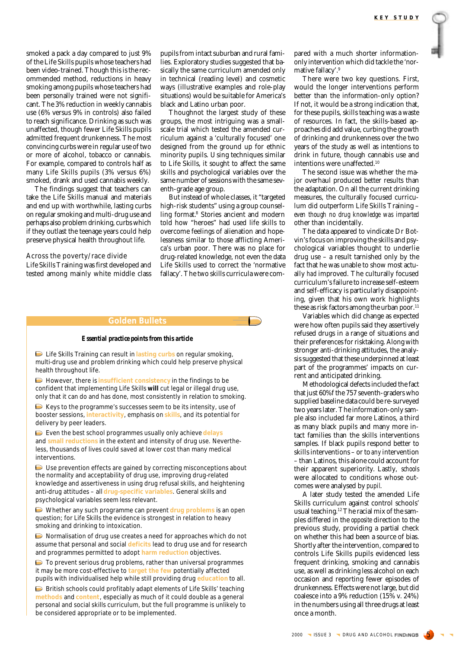smoked a pack a day compared to just 9% of the Life Skills pupils whose teachers had been video-trained. Though this is the recommended method, reductions in heavy smoking among pupils whose teachers had been personally trained were not significant. The 3% reduction in weekly cannabis use (6% versus 9% in controls) also failed to reach significance. Drinking as such was unaffected, though fewer Life Skills pupils admitted frequent drunkenness. The most convincing curbs were in regular use of two or more of alcohol, tobacco or cannabis. For example, compared to controls half as many Life Skills pupils (3% versus 6%) smoked, drank and used cannabis weekly.

The findings suggest that teachers can take the Life Skills manual and materials and end up with worthwhile, lasting curbs on regular smoking and multi-drug use and perhaps also problem drinking, curbs which if they outlast the teenage years could help preserve physical health throughout life.

Across the poverty/race divide

Life Skills Training was first developed and tested among mainly white middle class pupils from intact suburban and rural families. Exploratory studies suggested that basically the same curriculum amended only in technical (reading level) and cosmetic ways (illustrative examples and role-play situations) would be suitable for America's black and Latino urban poor.

Thoughnot the largest study of these groups, the most intriguing was a smallscale trial which tested the amended curriculum against a 'culturally focused' one designed from the ground up for ethnic minority pupils. Using techniques similar to Life Skills, it sought to affect the same skills and psychological variables over the same number of sessions with the same seventh-grade age group.

But instead of whole classes, it "targeted high-risk students" using a group counselling format.8 Stories ancient and modern told how "heroes" had used life skills to overcome feelings of alienation and hopelessness similar to those afflicting America's urban poor. There was no place for drug-related knowledge, not even the data Life Skills used to correct the 'normative fallacy'. The two skills curricula were com-

#### **Golden Bullets**

#### *Essential practice points from this article*

Life Skills Training can result in **lasting curbs** on regular smoking, multi-drug use and problem drinking which could help preserve physical health throughout life.

However, there is **insufficient consistency** in the findings to be confident that implementing Life Skills **will** cut legal or illegal drug use, only that it can do and has done, most consistently in relation to smoking.

 $\triangleright$  Keys to the programme's successes seem to be its intensity, use of booster sessions, **interactivity**, emphasis on **skills**, and its potential for delivery by peer leaders.

Even the best school programmes usually only achieve **delays** and **small reductions** in the extent and intensity of drug use. Nevertheless, thousands of lives could saved at lower cost than many medical interventions.

Use prevention effects are gained by correcting misconceptions about the normality and acceptability of drug use, improving drug-related knowledge and assertiveness in using drug refusal skills, and heightening anti-drug attitudes – all **drug-specific variables**. General skills and psychological variables seem less relevant.

Whether any such programme can prevent **drug problems** is an open question; for Life Skills the evidence is strongest in relation to heavy smoking and drinking to intoxication.

Normalisation of drug use creates a need for approaches which do not assume that personal and social **deficits** lead to drug use and for research and programmes permitted to adopt **harm reduction** objectives.

 $\Box$  To prevent serious drug problems, rather than universal programmes it may be more cost-effective to **target the few** potentially affected pupils with individualised help while still providing drug **education** to all.

British schools could profitably adapt elements of Life Skills' teaching **methods** and **content**, especially as much of it could double as a general personal and social skills curriculum, but the full programme is unlikely to be considered appropriate or to be implemented.

pared with a much shorter informationonly intervention which did tackle the 'normative fallacy'.9

There were two key questions. First, would the longer interventions perform better than the information-only option? If not, it would be a strong indication that, for these pupils, skills teaching was a waste of resources. In fact, the skills-based approaches did add value, curbing the growth of drinking and drunkenness over the two years of the study as well as intentions to drink in future, though cannabis use and intentions were unaffected.10

The second issue was whether the major overhaul produced better results than the adaptation. On all the current drinking measures, the culturally focused curriculum did outperform Life Skills Training – *even though no drug knowledge was imparted* other than incidentally.

The data appeared to vindicate Dr Botvin's focus on improving the skills and psychological variables thought to underlie drug use – a result tarnished only by the fact that he was unable to show most actually *had* improved. The culturally focused curriculum's failure to increase self-esteem and self-efficacy is particularly disappointing, given that his own work highlights these as risk factors among the urban poor.<sup>11</sup>

Variables which did change as expected were how often pupils said they assertively refused drugs in a range of situations and their preferences for risktaking. Along with stronger anti-drinking attitudes, the analysis suggested that these underpinned at least part of the programmes' impacts on current and anticipated drinking.

Methodological defects included the fact that just 60%f the 757 seventh-graders who supplied baseline data could be re-surveyed two years later. The information-only sample also included far more Latinos, a third as many black pupils and many more intact families than the skills interventions samples. If black pupils respond better to skills interventions – or to *any* intervention – than Latinos, this alone could account for their apparent superiority. Lastly, *schools* were allocated to conditions whose outcomes were analysed by *pupil*.

A later study tested the amended Life Skills curriculum against control schools' usual teaching.12 The racial mix of the samples differed in the *opposite* direction to the previous study, providing a partial check on whether this had been a source of bias. Shortly after the intervention, compared to controls Life Skills pupils evidenced less frequent drinking, smoking and cannabis use, as well as drinking less alcohol on each occasion and reporting fewer episodes of drunkenness. Effects were not large, but did coalesce into a 9% reduction (15% v. 24%) in the numbers using all three drugs at least once a month.

2000 | ISSUE 3 | DRUG AND ALCOHOL FINDINGS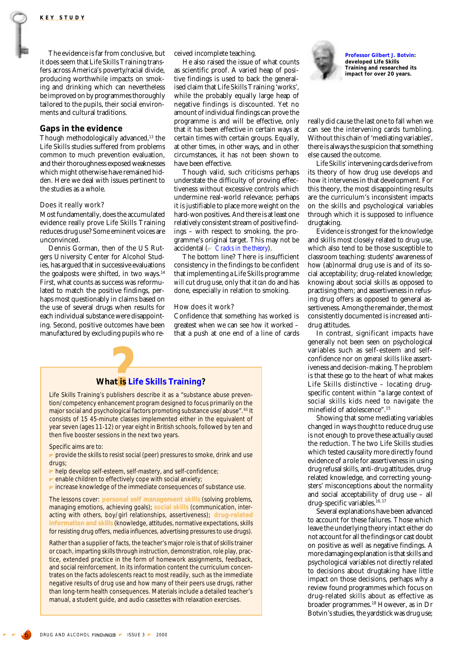The evidence is far from conclusive, but it does seem that Life Skills Training transfers across America's poverty/racial divide, producing worthwhile impacts on smoking and drinking which can nevertheless be improved on by programmes thoroughly tailored to the pupils, their social environments and cultural traditions.

## **Gaps in the evidence**

Though methodologically advanced,13 the Life Skills studies suffered from problems common to much prevention evaluation, and their thoroughness exposed weaknesses which might otherwise have remained hidden. Here we deal with issues pertinent to the studies as a whole.

#### Does it really work?

Most fundamentally, does the accumulated evidence really prove Life Skills Training reduces drug use? Some eminent voices are unconvinced.

Dennis Gorman, then of the US Rutgers University Center for Alcohol Studies, has argued that in successive evaluations the goalposts were shifted, in two ways. $14$ First, what counts as success was reformulated to match the positive findings, perhaps most questionably in claims based on the use of several drugs when results for each individual substance were disappointing. Second, positive outcomes have been manufactured by excluding pupils who re-

## ceived incomplete teaching.

He also raised the issue of what counts as scientific proof. A varied heap of positive findings is used to back the generalised claim that Life Skills Training 'works', while the probably equally large heap of negative findings is discounted. Yet no amount of individual findings can prove the programme is and will be effective, only that it *has* been effective in certain ways at certain times with certain groups. Equally, at other times, in other ways, and in other circumstances, it has *not* been shown to have been effective.

Though valid, such criticisms perhaps understate the difficulty of proving effectiveness without excessive controls which undermine real-world relevance; perhaps it is justifiable to place more weight on the hard-won positives. And there is at least one relatively consistent stream of positive findings – with respect to smoking, the programme's original target. This may not be accidental (*[Cracks in the theory](#page-5-0)*).

The bottom line? There is insufficient consistency in the findings to be confident that implementing a Life Skills programme *will* cut drug use, only that it *can* do and has done, especially in relation to smoking.

#### How does it work?

Confidence that something *has* worked is greatest when we can see *how* it worked – that a push at one end of a line of cards

# **What is L at is Life Skills Training?**<br> **Explosive** it as a "substand"

Life Skills Training's publishers describe it as a "substance abuse prevention/competency enhancement program designed to focus primarily on the major social and psychological factors promoting substance use/abuse". 65 It consists of 15 45-minute classes implemented either in the equivalent of year seven (ages 11-12) or year eight in British schools, followed by ten and then five booster sessions in the next two years.

Specific aims are to:

**provide the skills to resist social (peer) pressures to smoke, drink and use** drugs;

- $\blacktriangleright$  help develop self-esteem, self-mastery, and self-confidence;
- $\blacktriangleright$  enable children to effectively cope with social anxiety;
- $\blacktriangleright$  increase knowledge of the immediate consequences of substance use.

The lessons cover: **personal self management skills** (solving problems, managing emotions, achieving goals); **social skills** (communication, interacting with others, boy/girl relationships, assertiveness); **drug-related information and skills** (knowledge, attitudes, normative expectations, skills for resisting drug offers, media influences, advertising pressures to use drugs).

Rather than a supplier of facts, the teacher's major role is that of skills trainer or coach, imparting skills through instruction, demonstration, role play, practice, extended practice in the form of homework assignments, feedback, and social reinforcement. In its information content the curriculum concentrates on the facts adolescents react to most readily, such as the immediate trates on the facts adolescents react to most readily, such as the immediate<br>negative results of drug use and how many of their peers use drugs, rather than long-term health consequences. Materials include a detailed teacher's student guide, and audio cassettes with relaxation exercises. manual, a student guide, and audio cassettes with relaxation exercises.



**Professor Gilbert J. Botvin: developed Life Skills Training and researched its impact for over 20 years.**

really did cause the last one to fall when we can see the intervening cards tumbling. Without this chain of 'mediating variables', there is always the suspicion that something else caused the outcome.

Life Skills' intervening cards derive from its theory of how drug use develops and how it intervenes in that development. For this theory, the most disappointing results are the curriculum's inconsistent impacts on the skills and psychological variables through which it is supposed to influence drugtaking.

Evidence is strongest for the knowledge and skills most closely related to drug use, which also tend to be those susceptible to classroom teaching: students' awareness of how (ab)normal drug use is and of its social acceptability; drug-related knowledge; knowing about social skills as opposed to practising them; and assertiveness in refusing drug offers as opposed to general assertiveness. Among the remainder, the most consistently documented is increased antidrug attitudes.

In contrast, significant impacts have generally not been seen on psychological variables such as self-esteem and selfconfidence nor on *general* skills like assertiveness and decision-making. The problem is that these go to the heart of what makes Life Skills distinctive – locating drugspecific content within "a large context of social skills kids need to navigate the minefield of adolescence".15

Showing that some mediating variables changed in ways *thought* to reduce drug use is not enough to prove these actually *caused* the reduction. The two Life Skills studies which tested causality more directly found evidence of a role for assertiveness in using drug refusal skills, anti-drug attitudes, drugrelated knowledge, and correcting youngsters' misconceptions about the normality and social acceptability of drug use – all drug-specific variables.<sup>16, 17</sup>

Several explanations have been advanced to account for these failures. Those which leave the underlying theory intact either do not account for all the findings or cast doubt on positive as well as negative findings. A more damaging explanation is that skills and psychological variables not directly related to decisions about drugtaking have little impact on those decisions, perhaps why a review found programmes which focus on drug-related skills about as effective as broader programmes.18 However, as in Dr Botvin's studies, the yardstick was drug use;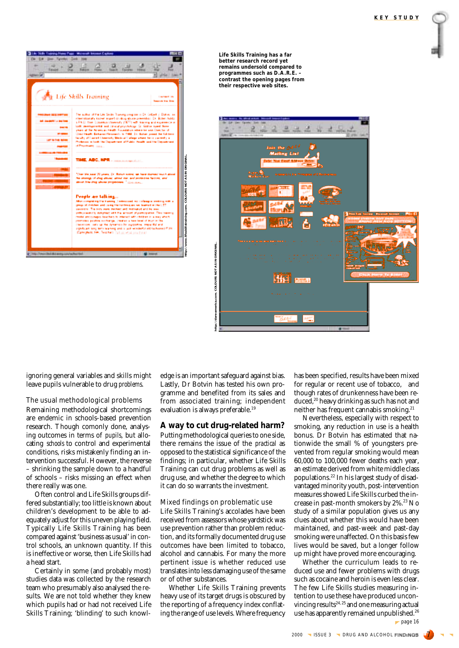

**Life Skills Training has a far better research record yet remains undersold compared to programmes such as D.A.R.E. – contrast the opening pages from their respective web sites.**



ignoring general variables and skills might leave pupils vulnerable to drug *problems*.

The usual methodological problems Remaining methodological shortcomings are endemic in schools-based prevention research. Though comonly done, analysing outcomes in terms of *pupils*, but allocating *schools* to control and experimental conditions, risks mistakenly finding an intervention successful. However, the reverse – shrinking the sample down to a handful of schools – risks missing an effect when there really was one.

Often control and Life Skills groups differed substantially; too little is known about children's development to be able to adequately adjust for this uneven playing field. Typically Life Skills Training has been compared against 'business as usual' in control schools, an unknown quantity. If this is ineffective or worse, then Life Skills had a head start.

Certainly in some (and probably most) studies data was collected by the research team who presumably also analysed the results. We are not told whether they knew which pupils had or had not received Life Skills Training; 'blinding' to such knowledge is an important safeguard against bias. Lastly, Dr Botvin has tested his own programme and benefited from its sales and from associated training; independent evaluation is always preferable.<sup>19</sup>

# **A way to cut drug-related harm?**

Putting methodological queries to one side, there remains the issue of the *practical* as opposed to the statistical significance of the findings; in particular, whether Life Skills Training can cut drug problems as well as drug use, and whether the degree to which it can do so warrants the investment.

## Mixed findings on problematic use

Life Skills Training's accolades have been received from assessors whose yardstick was use prevention rather than problem reduction, and its formally documented drug use outcomes have been limited to tobacco, alcohol and cannabis. For many the more pertinent issue is whether reduced use translates into less damaging use of the same or of other substances.

Whether Life Skills Training prevents heavy use of its target drugs is obscured by the reporting of a frequency index conflating the range of use levels. Where frequency has been specified, results have been mixed for regular or recent use of tobacco, and though rates of drunkenness have been reduced,<sup>20</sup> heavy drinking as such has not and neither has frequent cannabis smoking.21

Nevertheless, especially with respect to smoking, any reduction in use is a health bonus. Dr Botvin has estimated that nationwide the small % of youngsters prevented from regular smoking would mean 60,000 to 100,000 fewer deaths each year, an estimate derived from white middle class populations.22 In his largest study of disadvantaged minority youth, post-intervention measures showed Life Skills curbed the increase in past-month smokers by 2%.<sup>23</sup> No study of a similar population gives us any clues about whether this would have been maintained, and past-week and past-day smoking were unaffected. On this basis few lives would be saved, but a longer follow up might have proved more encouraging.

Whether the curriculum leads to reduced use and fewer problems with drugs such as cocaine and heroin is even less clear. The few Life Skills studies measuring intention to use these have produced unconvincing results<sup>24, 25</sup> and one measuring actual use has apparently remained unpublished.<sup>26</sup>  $\blacktriangleright$  page 16

2000 | ISSUE 3 | DRUG AND ALCOHOL FINDINGS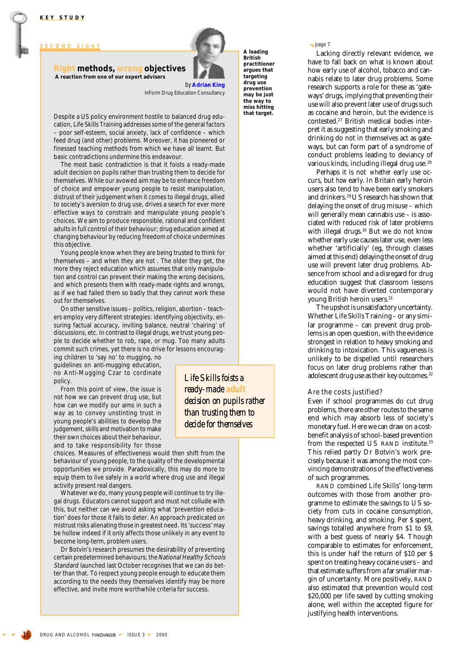<span id="page-4-0"></span>**SECOND SIGHT**

# **Right methods, wrong objectives A reaction from one of our expert advisers**



*Life Skills foists a ready-made adult*

*decision on pupils rather than trusting them to decide for themselves*

*by* **Adrian King** InForm Drug Education Consultancy

Despite a US policy environment hostile to balanced drug education, Life Skills Training addresses some of the general factors – poor self-esteem, social anxiety, lack of confidence – which feed drug (and other) problems. Moreover, it has pioneered or finessed teaching methods from which we have all learnt. But basic contradictions undermine this endeavour.

The most basic contradiction is that it foists a ready-made adult decision on pupils rather than trusting them to decide for themselves. While our avowed aim may be to enhance freedom of choice and empower young people to resist manipulation, distrust of their judgement when it comes to illegal drugs, allied to society's aversion to drug use, drives a search for ever more effective ways to constrain and manipulate young people's choices. We aim to produce responsible, rational and confident adults in full control of their behaviour; drug education aimed at changing behaviour by reducing freedom of choice undermines this objective.

Young people know when they are being trusted to think for themselves – and when they are not . The older they get, the more they reject education which assumes that only manipulation and control can prevent their making the wrong decisions, and which presents them with ready-made rights and wrongs, as if we had failed them so badly that they cannot work these out for themselves.

On other sensitive issues – politics, religion, abortion – teachers employ very different strategies: identifying objectivity, ensuring factual accuracy, inviting balance, neutral 'chairing' of discussions, etc. In contrast to illegal drugs, we trust young people to decide whether to rob, rape, or mug. Too many adults commit such crimes, yet there is no drive for lessons encourag-

ing children to 'say no' to mugging, no guidelines on anti-mugging education, no Anti-Mugging Czar to cordinate policy.

From this point of view, the issue is not how we can prevent drug use, but how can we modify our aims in such a way as to convey unstinting trust in young people's abilities to develop the judgement, skills and motivation to make their own choices about their behaviour, and to take responsibility for those

choices. Measures of effectiveness would then shift from the behaviour of young people, to the quality of the developmental opportunities we provide. Paradoxically, this may do more to equip them to live safely in a world where drug use and illegal activity present real dangers.

Whatever we do, many young people will continue to try illegal drugs. Educators cannot support and must not collude with this, but neither can we avoid asking what 'prevention education' does for those it fails to deter. An approach predicated on mistrust risks alienating those in greatest need. Its 'success' may be hollow indeed if it only affects those unlikely in any event to become long-term, problem users.

Dr Botvin's research presumes the desirability of preventing certain predetermined behaviours; the National Healthy Schools Standard launched last October recognises that we can do better than that. To respect young people enough to educate them according to the needs they themselves identify may be more effective, and invite more worthwhile criteria for success.

**A leading British practitioner argues that targeting drug use prevention may be just the way to miss hitting that target.** page 7

Lacking directly relevant evidence, we have to fall back on what is known about how early use of alcohol, tobacco and cannabis relate to later drug problems. Some research supports a role for these as 'gateways' drugs, implying that preventing their use will also prevent later use of drugs such as cocaine and heroin, but the evidence is contested.27 British medical bodies interpret it as suggesting that early smoking and drinking do not in themselves act as gateways, but can form part of a syndrome of conduct problems leading to deviancy of various kinds, including illegal drug use.<sup>28</sup>

Perhaps it is not *whether* early use occurs, but *how* early. In Britain early heroin users also tend to have been early smokers and drinkers.29 US research has shown that delaying the onset of drug misuse – which will generally mean cannabis use – is associated with reduced risk of later problems with illegal drugs.<sup>30</sup> But we do not know whether early use causes later use, even less whether 'artificially' (eg, through classes aimed at this end) delaying the onset of drug use will prevent later drug problems. Absence from school and a disregard for drug education suggest that classroom lessons would not have diverted contemporary young British heroin users.<sup>31</sup>

The upshot is unsatisfactory uncertainty. Whether Life Skills Training – or any similar programme – can prevent drug problems is an open question, with the evidence strongest in relation to heavy smoking and drinking to intoxication. This vagueness is unlikely to be dispelled until researchers focus on later drug problems rather than adolescent drug use as their key outcomes.<sup>32</sup>

# Are the costs justified?

Even if school programmes do cut drug problems, there are other routes to the same end which may absorb less of society's monetary fuel. Here we can draw on a costbenefit analysis of school-based prevention from the respected US RAND institute.<sup>33</sup> This relied partly Dr Botvin's work precisely because it was among the most convincing demonstrations of the effectiveness of such programmes.

RAND combined Life Skills' long-term outcomes with those from another programme to estimate the savings to US society from cuts in cocaine consumption, heavy drinking, and smoking. Per \$ spent, savings totalled anywhere from \$1 to \$9, with a best guess of nearly \$4. Though comparable to estimates for enforcement, this is under half the return of \$10 per \$ spent on treating heavy cocaine users – and that estimate suffers from a far smaller margin of uncertainty. More positively, RAND also estimated that prevention would cost \$20,000 per life saved by cutting smoking alone, well within the accepted figure for justifying health interventions.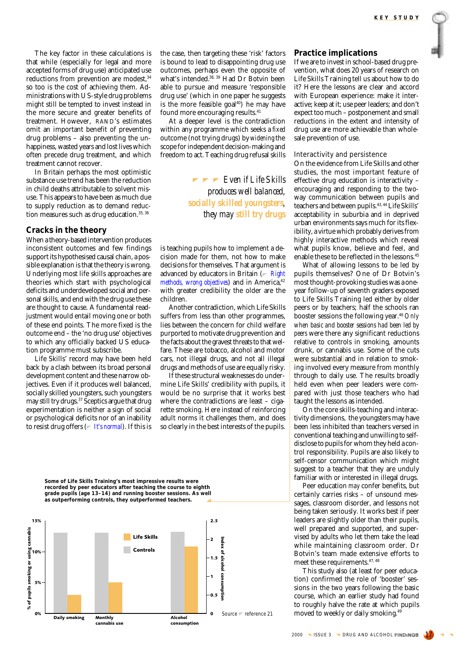<span id="page-5-0"></span>The key factor in these calculations is that while (especially for legal and more accepted forms of drug use) anticipated use reductions from prevention are modest,<sup>34</sup> so too is the cost of achieving them. Administrations with US-style drug problems might still be tempted to invest instead in the more secure and greater benefits of treatment. However, RAND's estimates omit an important benefit of preventing drug problems – also preventing the unhappiness, wasted years and lost lives which often precede drug treatment, and which treatment cannot recover.

In Britain perhaps the most optimistic substance use trend has been the reduction in child deaths attributable to solvent misuse. This appears to have been as much due to supply reduction as to demand reduction measures such as drug education.<sup>35, 36</sup>

# **Cracks in the theory**

When a theory-based intervention produces inconsistent outcomes and few findings support its hypothesised causal chain, a possible explanation is that the theory is wrong. Underlying most life skills approaches are theories which start with psychological deficits and underdeveloped social and personal skills, and end with the drug use these are thought to cause. A fundamental readjustment would entail moving one or both of these end points. The more fixed is the outcome end – the 'no drug use' objectives to which any officially backed US education programme must subscribe.

Life Skills' record may have been held back by a clash between its broad personal development content and these narrow objectives. Even if it produces well balanced, socially skilled youngsters, such youngsters may still try drugs.37 Sceptics argue that drug experimentation is neither a sign of social or psychological deficits nor of an inability to resist drug offers ( *[It's normal](#page-6-0)*). If this is the case, then targeting these 'risk' factors is bound to lead to disappointing drug use outcomes, perhaps even the opposite of what's intended.<sup>38, 39</sup> Had Dr Botvin been able to pursue and measure 'responsible drug use' (which in one paper he suggests is the more feasible goal $40$ ) he may have found more encouraging results.<sup>41</sup>

At a deeper level is the contradiction within any programme which seeks a *fixed* outcome (not trying drugs) by *widening* the scope for independent decision-making and freedom to act. Teaching drug refusal skills

> *Even if Life Skills produces well balanced, socially skilled youngsters, they may still try drugs*

is teaching pupils how to implement a decision made for them, not how to make decisions for themselves. That argument is advanced by educators in Britain (*[Right](#page-4-0) [methods, wrong objectives](#page-4-0)*) and in America, 42 with greater credibility the older are the children.

Another contradiction, which Life Skills suffers from less than other programmes, lies between the concern for child welfare purported to motivate drug prevention and the facts about the gravest threats to that welfare. These are tobacco, alcohol and motor cars, not illegal drugs, and not all illegal drugs and methods of use are equally risky.

If these structural weaknesses do undermine Life Skills' credibility with pupils, it would be no surprise that it works best where the contradictions are least – cigarette smoking. Here instead of reinforcing adult norms it challenges them, and does so clearly in the best interests of the pupils.

**Some of Life Skills Training's most impressive results were recorded by peer educators after teaching the course to eighth grade pupils (age 13–14) and running booster sessions. As well as outperforming controls, they outperformed teachers.**



# **Practice implications**

If we are to invest in school-based drug prevention, what does 20 years of research on Life Skills Training tell us about how to do it? Here the lessons are clear and accord with European experience: make it interactive; keep at it; use peer leaders; and don't expect too much – postponement and small reductions in the extent and intensity of drug use are more achievable than wholesale prevention of use.

#### Interactivity and persistence

On the evidence from Life Skills and other studies, the most important feature of effective drug education is interactivity – encouraging and responding to the twoway communication between pupils and teachers and between pupils.43, 44 Life Skills' acceptability in suburbia and in deprived urban environments says much for its flexibility, a virtue which probably derives from highly interactive methods which reveal what pupils know, believe and feel, and enable these to be reflected in the lessons.45

What of allowing lessons to be led by pupils themselves? One of Dr Botvin's most thought-provoking studies was a oneyear follow-up of seventh graders exposed to Life Skills Training led either by older peers or by teachers; half the schools ran booster sessions the following year.46 *Only when basic and booster sessions had been led by peers* were there any significant reductions relative to controls in smoking, amounts drunk, or cannabis use. Some of the cuts were substantial and in relation to smoking involved every measure from monthly through to daily use. The results broadly held even when peer leaders were compared with just those teachers who had taught the lessons as intended.

On the core skills-teaching and interactivity dimensions, the youngsters may have been less inhibited than teachers versed in conventional teaching and unwilling to selfdisclose to pupils for whom they held a control responsibility. Pupils are also likely to self-censor communication which might suggest to a teacher that they are unduly familiar with or interested in illegal drugs.

Peer education *may* confer benefits, but certainly carries risks – of unsound messages, classroom disorder, and lessons not being taken seriously. It works best if peer leaders are slightly older than their pupils, well prepared and supported, and supervised by adults who let them take the lead while maintaining classroom order. Dr Botvin's team made extensive efforts to meet these requirements.47, 48

This study also (at least for peer education) confirmed the role of 'booster' sessions in the two years following the basic course, which an earlier study had found to roughly halve the rate at which pupils moved to weekly or daily smoking.<sup>49</sup>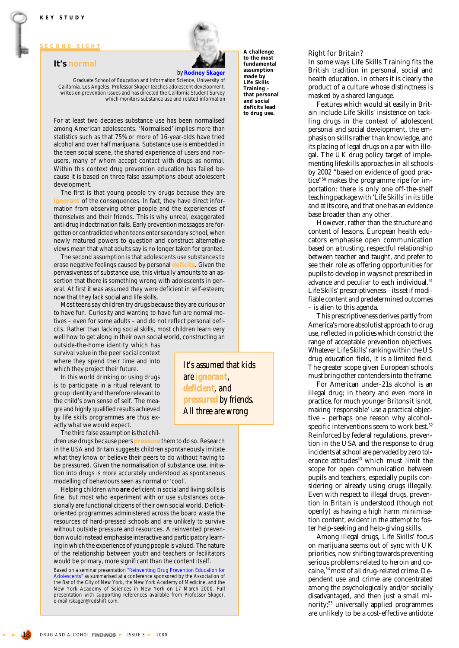# <span id="page-6-0"></span>**SECOND SIGHT**

#### **It's normal**

# *by* **Rodney Skager**

**made by**

Graduate School of Education and Information Science, University of California, Los Angeles. Professor Skager teaches adolescent development, writes on prevention issues and has directed the California Student Survey which monitors substance use and related information

For at least two decades substance use has been normalised among American adolescents. 'Normalised' implies more than statistics such as that 75% or more of 16-year-olds have tried alcohol and over half marijuana. Substance use is embedded in the teen social scene, the shared experience of users and nonusers, many of whom accept contact with drugs as normal. Within this context drug prevention education has failed because it is based on three false assumptions about adolescent development.

The first is that young people try drugs because they are **ignorant** of the consequences. In fact, they have direct information from observing other people and the experiences of themselves and their friends. This is why unreal, exaggerated anti-drug indoctrination fails. Early prevention messages are forgotten or contradicted when teens enter secondary school, when newly matured powers to question and construct alternative views mean that what adults say is no longer taken for granted.

The second assumption is that adolescents use substances to erase negative feelings caused by personal **deficits**. Given the pervasiveness of substance use, this virtually amounts to an assertion that there is something wrong with adolescents in general. At first it was assumed they were deficient in self-esteem; now that they lack social and life skills.

Most teens say children try drugs because they are curious or to have fun. Curiosity and wanting to have fun are normal motives – even for some adults – and do not reflect personal deficits. Rather than lacking social skills, most children learn very well how to get along in their own social world, constructing an

outside-the-home identity which has survival value in the peer social context where they spend their time and into which they project their future.

In this world drinking or using drugs is to participate in a ritual relevant to group identity and therefore relevant to the child's own sense of self. The meagre and highly qualified results achieved by life skills programmes are thus exactly what we would expect.

The third false assumption is that chil-

dren use drugs because peers **pressure** them to do so. Research in the USA and Britain suggests children spontaneously imitate what they know or believe their peers to do without having to be pressured. Given the normalisation of substance use, initiation into drugs is more accurately understood as spontaneous modelling of behaviours seen as normal or 'cool'.

Helping children who **are** deficient in social and living skills is fine. But most who experiment with or use substances occasionally are functional citizens of their own social world. Deficitoriented programmes administered across the board waste the resources of hard-pressed schools and are unlikely to survive without outside pressure and resources. A reinvented prevention would instead emphasise interactive and participatory learning in which the experience of young people is valued. The nature of the relationship between youth and teachers or facilitators would be primary, more significant than the content itself.

Based on a seminar presentation "Reinventing Drug Prevention Education for Adolescents" as summarised at a conference sponsored by the Association of the Bar of the City of New York, the New York Academy of Medicine, and the New York Academy of Sciences in New York on 17 March 2000. Full presentation with supporting references available from Professor Skager, e-mail rskager@redshift.com.

**A challenge to the most fundamental assumption Life Skills Training – that personal and social deficits lead to drug use.**

#### Right for Britain?

In some ways Life Skills Training fits the British tradition in personal, social and health education. In others it is clearly the product of a culture whose distinctness is masked by a shared language.

Features which would sit easily in Britain include Life Skills' insistence on tackling drugs in the context of adolescent personal and social development, the emphasis on skills rather than knowledge, and its placing of legal drugs on a par with illegal. The UK drug policy target of implementing lifeskills approaches in all schools by 2002 "based on evidence of good practice"50 makes the programme ripe for importation: there is only one off-the-shelf teaching package with 'Life Skills' in its title and at its core, and that one has an evidence base broader than any other.

However, rather than the structure and content of lessons, European health educators emphasise open communication based on a trusting, respectful relationship between teacher and taught, and prefer to see their role as offering opportunities for pupils to develop in ways not prescribed in advance and peculiar to each individual.<sup>51</sup> Life Skills' prescriptiveness – its set if modifiable content and predetermined outcomes – is alien to this agenda.

This prescriptiveness derives partly from America's more absolutist approach to drug use, reflected in policies which constrict the range of acceptable prevention objectives. Whatever Life Skills' ranking within the US drug education field, it is a limited field. The greater scope given European schools must bring other contenders into the frame.

For American under-21s alcohol is an illegal drug; in theory and even more in practice, for much younger Britons it is not, making 'responsible' use a practical objective – perhaps one reason why alcoholspecific interventions seem to work best.<sup>52</sup> Reinforced by federal regulations, prevention in the USA and the response to drug incidents at school are pervaded by zero tolerance attitudes<sup>53</sup> which must limit the scope for open communication between pupils and teachers, especially pupils considering or already using drugs illegally. Even with respect to illegal drugs, prevention in Britain is understood (though not openly) as having a high harm minimisation content, evident in the attempt to foster help-seeking and help-giving skills.

Among illegal drugs, Life Skills' focus on marijuana seems out of sync with UK priorities, now shifting towards preventing serious problems related to heroin and cocaine, <sup>54</sup> most of all drug-related crime. Dependent use and crime are concentrated among the psychologically and/or socially disadvantaged, and then just a small minority;55 universally applied programmes are unlikely to be a cost-effective antidote

*It's assumed that kids are ignorant*, *deficient, and pressured by friends. All three are wrong*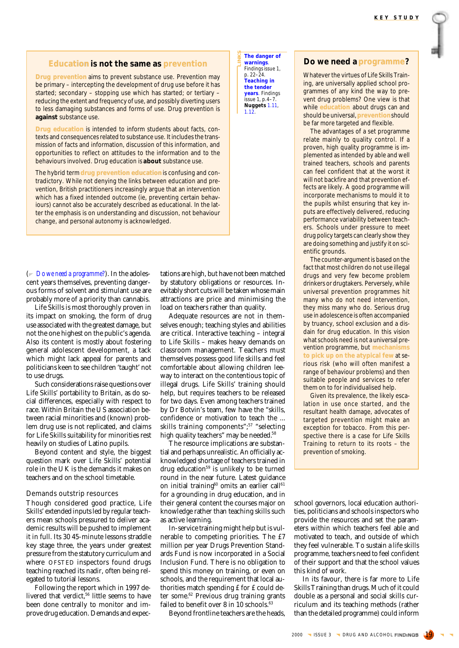# **Education is not the same as prevention**

Drug prevention aims to prevent substance use. Prevention may be primary – intercepting the development of drug use before it has started; secondary – stopping use which has started; or tertiary – reducing the extent and frequency of use, and possibly diverting users to less damaging substances and forms of use. Drug prevention is **against** substance use.

**Drug education** is intended to inform students about facts, contexts and consequences related to substance use. It includes the transmission of facts and information, discussion of this information, and opportunities to reflect on attitudes to the information and to the behaviours involved. Drug education is **about** substance use.

The hybrid term drug prevention education is confusing and contradictory. While not denying the links between education and prevention, British practitioners increasingly argue that an intervention which has a fixed intended outcome (ie, preventing certain behaviours) cannot also be accurately described as educational. In the latter the emphasis is on understanding and discussion, not behaviour change, and personal autonomy is acknowledged.

( *Do we need a programme?*). In the adolescent years themselves, preventing dangerous forms of solvent and stimulant use are probably more of a priority than cannabis.

Life Skills is most thoroughly proven in its impact on smoking, the form of drug use associated with the greatest damage, but not the one highest on the public's agenda. Also its content is mostly about fostering general adolescent development, a tack which might lack appeal for parents and politicians keen to see children 'taught' not to use drugs.

Such considerations raise questions over Life Skills' portability to Britain, as do social differences, especially with respect to race. Within Britain the US association between racial minorities and (known) problem drug use is not replicated, and claims for Life Skills suitability for minorities rest heavily on studies of Latino pupils.

Beyond content and style, the biggest question mark over Life Skills' potential role in the UK is the demands it makes on teachers and on the school timetable.

#### Demands outstrip resources

Though considered good practice, Life Skills' extended inputs led by regular teachers mean schools pressured to deliver academic results will be pushed to implement it in full. Its 30 45-minute lessons straddle key stage three, the years under greatest pressure from the statutory curriculum and where OFSTED inspectors found drugs teaching reached its nadir, often being relegated to tutorial lessons.

Following the report which in 1997 delivered that verdict,<sup>56</sup> little seems to have been done centrally to monitor and improve drug education. Demands and expectations are high, but have not been matched by statutory obligations or resources. Inevitably short cuts will be taken whose main attractions are price and minimising the load on teachers rather than quality.

**The danger of warnings**. *Findings* issue 1, p. 22–24. **Teaching in the tender years**. *Findings* issue 1, p.4–7. **Nuggets** 1.11, 1.12.

Adequate resources are not in themselves enough; teaching styles and abilities are critical. Interactive teaching – integral to Life Skills – makes heavy demands on classroom management. Teachers must themselves possess good life skills and feel comfortable about allowing children leeway to interact on the contentious topic of illegal drugs. Life Skills' training should help, but requires teachers to be released for two days. Even among teachers trained by Dr Botvin's team, few have the "skills, confidence or motivation to teach the ... skills training components";<sup>57</sup> "selecting high quality teachers" may be needed.<sup>58</sup>

The resource implications are substantial and perhaps unrealistic. An officially acknowledged shortage of teachers trained in drug education<sup>59</sup> is unlikely to be turned round in the near future. Latest guidance on initial training<sup>60</sup> omits an earlier call<sup>61</sup> for a grounding in drug education, and in their general content the courses major on knowledge rather than teaching skills such as active learning.

In-service training might help but is vulnerable to competing priorities. The £7 million per year Drugs Prevention Standards Fund is now incorporated in a Social Inclusion Fund. There is no obligation to spend this money on training, or even on schools, and the requirement that local authorities match spending £ for £ could deter some.<sup>62</sup> Previous drug training grants failed to benefit over 8 in 10 schools.<sup>63</sup>

Beyond frontline teachers are the heads,

# **Do we need a programme?**

Whatever the virtues of Life Skills Training, are universally applied school programmes of any kind the way to prevent drug problems? One view is that while **education** about drugs can and should be universal, **prevention** should be far more targeted and flexible.

The advantages of a set programme relate mainly to quality control. If a proven, high quality programme is implemented as intended by able and well trained teachers, schools and parents can feel confident that at the worst it will not backfire and that prevention effects are likely. A good programme will incorporate mechanisms to mould it to can feel confident that at the worst it<br>will not backfire and that prevention ef-<br>fects are likely. A good programme will<br>incorporate mechanisms to mould it to<br>the pupils whilst ensuring that key inputs are effectively delivered, reducing performance variability between teachers. Schools under pressure to meet drug policy targets can clearly show they are doing something and justify it on scientific grounds. rate effectively delivered, reducing<br>ormance variability between teach-<br>Schools under pressure to meet<br>policy targets can clearly show they<br>doing something and justify it on sci-<br>fic grounds.<br>he counter-argument is based o **Example and the same as prevention** in the same as prevention, the many intervention and proportion intervention intervention intervention intervention intervention intervention intervention intervention intervention inte

The counter-argument is based on the fact that most children do not use illegal drugs and very few become problem drinkers or drugtakers. Perversely, while universal prevention programmes hit many who do not need intervention, they miss many who do. Serious drug use in adolescence is often accompanied by truancy, school exclusion and a disdain for drug education. In this vision what schools need is not a universal prevention programme, but **mechanisms to pick up on the atypical few** at serious risk (who will often manifest a range of behaviour problems) and then suitable people and services to refer them on to for individualised help.

Given its prevalence, the likely escalation in use once started, and the resultant health damage, advocates of targeted prevention might make an exception for tobacco. From this perspective there is a case for Life Skills Training to return to its roots – the prevention of smoking.

school governors, local education authorities, politicians and schools inspectors who provide the resources and set the parameters within which teachers feel able and motivated to teach, and outside of which they feel vulnerable. To sustain a life skills programme, teachers need to feel confident of their support and that the school values this kind of work.

In its favour, there is far more to Life Skills Training than drugs. Much of it could double as a personal and social skills curriculum and its teaching methods (rather than the detailed programme) could inform